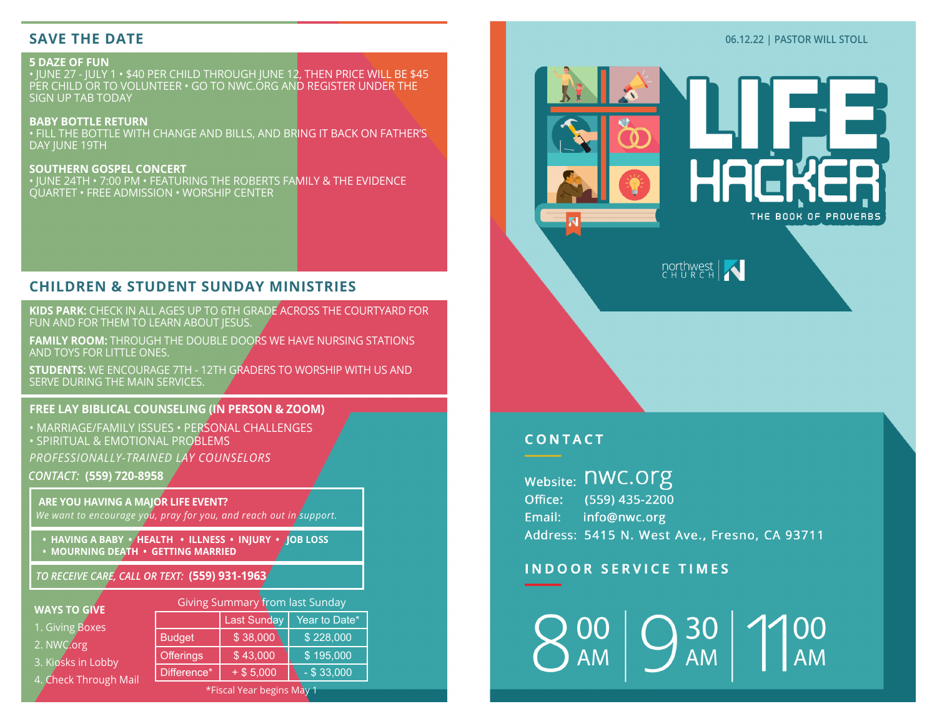# **SAVE THE DATE**

## **5 DAZE OF FUN**

• JUNE 27 - JULY 1 • \$40 PER CHILD THROUGH JUNE 12, THEN PRICE WILL BE \$45 PER CHILD OR TO VOLUNTEER • GO TO NWC.ORG AND REGISTER UNDER THE SIGN UP TAB TODAY

**BABY BOTTLE RETURN** • FILL THE BOTTLE WITH CHANGE AND BILLS, AND BRING IT BACK ON FATHER'S DAY JUNE 19TH

**SOUTHERN GOSPEL CONCERT** • JUNE 24TH • 7:00 PM • FEATURING THE ROBERTS FAMILY & THE EVIDENCE QUARTET • FREE ADMISSION • WORSHIP CENTER

# **CHILDREN & STUDENT SUNDAY MINISTRIES**

**KIDS PARK:** CHECK IN ALL AGES UP TO 6TH GRADE ACROSS THE COURTYARD FOR FUN AND FOR THEM TO LEARN ABOUT JESUS.

**FAMILY ROOM:** THROUGH THE DOUBLE DOORS WE HAVE NURSING STATIONS AND TOYS FOR LITTLE ONES.

**STUDENTS:** WE ENCOURAGE 7TH - 12TH GRADERS TO WORSHIP WITH US AND SERVE DURING THE MAIN SERVICES.

### **FREE LAY BIBLICAL COUNSELING (IN PERSON & ZOOM)**

*CONTACT:* **(559) 720-8958** • MARRIAGE/FAMILY ISSUES • PERSONAL CHALLENGES • SPIRITUAL & EMOTIONAL PROBLEMS *PROFESSIONALLY-TRAINED LAY COUNSELORS*

**ARE YOU HAVING A MAJOR LIFE EVENT?** *We want to encourage you, pray for you, and reach out in support.*

**• HAVING A BABY • HEALTH • ILLNESS • INJURY • JOB LOSS** 

**• MOURNING DEATH • GETTING MARRIED**

*TO RECEIVE CARE, CALL OR TEXT:* **(559) 931-1963**

#### **WAYS TO GIVE**

|  | 1. Giving Boxes |
|--|-----------------|
|  |                 |
|  |                 |

- 2. NWC.org
- 3. Kiosks in Lobby

|  | 4. Check Through Mail |  |
|--|-----------------------|--|
|  |                       |  |

| Giving Summary from last Sunday |                    |               |  |  |
|---------------------------------|--------------------|---------------|--|--|
|                                 | <b>Last Sunday</b> | Year to Date* |  |  |
| <b>Budget</b>                   | \$38,000           | \$228,000     |  |  |
| <b>Offerings</b>                | \$43,000           | \$195,000     |  |  |
| Difference*                     | $+$ \$ 5,000       | $-$ \$ 33,000 |  |  |
|                                 |                    |               |  |  |

\*Fiscal Year begins May 1



**06.12.22 | PASTOR WILL STOLL**



# **CONTACT**

**Website: NWC.OFG** (559) 435-2200 Office: info@nwc.org Email: Address: 5415 N. West Ave., Fresno, CA 93711

# **INDOOR SERVICE TIMES**

30 **AM**